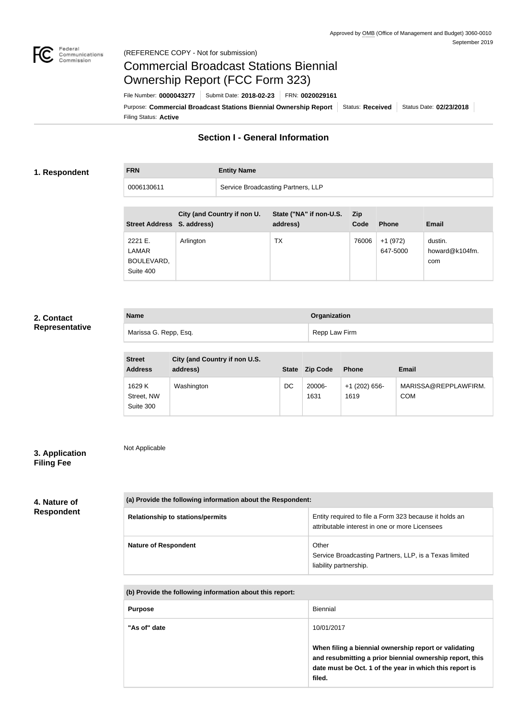

# Commercial Broadcast Stations Biennial Ownership Report (FCC Form 323)

Filing Status: **Active** Purpose: Commercial Broadcast Stations Biennial Ownership Report Status: Received Status Date: 02/23/2018 File Number: **0000043277** Submit Date: **2018-02-23** FRN: **0020029161**

## **Section I - General Information**

#### **1. Respondent**

**FRN Entity Name**

| 0006130611                                  |           |                             | Service Broadcasting Partners, LLP  |                    |                       |                                  |
|---------------------------------------------|-----------|-----------------------------|-------------------------------------|--------------------|-----------------------|----------------------------------|
| Street Address S. address)                  |           | City (and Country if non U. | State ("NA" if non-U.S.<br>address) | <b>Zip</b><br>Code | <b>Phone</b>          | <b>Email</b>                     |
| 2221 E.<br>LAMAR<br>BOULEVARD,<br>Suite 400 | Arlington |                             | ТX                                  | 76006              | $+1(972)$<br>647-5000 | dustin.<br>howard@k104fm.<br>com |

## **2. Contact Representative**

| <b>Name</b>           | Organization  |
|-----------------------|---------------|
| Marissa G. Repp, Esq. | Repp Law Firm |

| <b>Street</b><br><b>Address</b>   | City (and Country if non U.S.<br>address) | <b>State</b> | <b>Zip Code</b> | <b>Phone</b>            | Email                              |
|-----------------------------------|-------------------------------------------|--------------|-----------------|-------------------------|------------------------------------|
| 1629 K<br>Street, NW<br>Suite 300 | Washington                                | DC           | 20006-<br>1631  | $+1$ (202) 656-<br>1619 | MARISSA@REPPLAWFIRM.<br><b>COM</b> |

## **3. Application Filing Fee**

Not Applicable

**4. Nature of Respondent**

| (a) Provide the following information about the Respondent: |                                                                                                          |  |
|-------------------------------------------------------------|----------------------------------------------------------------------------------------------------------|--|
| <b>Relationship to stations/permits</b>                     | Entity required to file a Form 323 because it holds an<br>attributable interest in one or more Licensees |  |
| <b>Nature of Respondent</b>                                 | Other<br>Service Broadcasting Partners, LLP, is a Texas limited<br>liability partnership.                |  |

**(b) Provide the following information about this report:**

| <b>Purpose</b> | Biennial                                                                                                                                                                                             |
|----------------|------------------------------------------------------------------------------------------------------------------------------------------------------------------------------------------------------|
| "As of" date   | 10/01/2017<br>When filing a biennial ownership report or validating<br>and resubmitting a prior biennial ownership report, this<br>date must be Oct. 1 of the year in which this report is<br>filed. |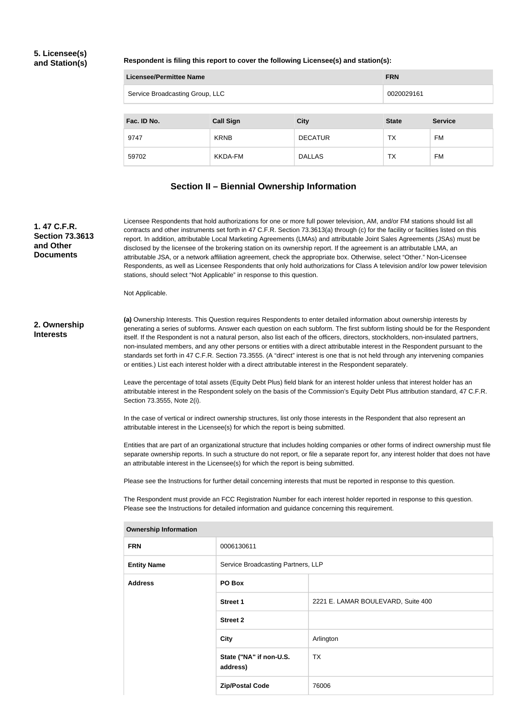### **5. Licensee(s) and Station(s)**

**Respondent is filing this report to cover the following Licensee(s) and station(s):**

| <b>Licensee/Permittee Name</b><br><b>FRN</b> |                  |                |              |                |
|----------------------------------------------|------------------|----------------|--------------|----------------|
| Service Broadcasting Group, LLC              |                  |                | 0020029161   |                |
|                                              |                  |                |              |                |
| Fac. ID No.                                  | <b>Call Sign</b> | <b>City</b>    | <b>State</b> | <b>Service</b> |
| 9747                                         | <b>KRNB</b>      | <b>DECATUR</b> | TX           | <b>FM</b>      |
| 59702                                        | KKDA-FM          | <b>DALLAS</b>  | ТX           | <b>FM</b>      |

### **Section II – Biennial Ownership Information**

#### **1. 47 C.F.R. Section 73.3613 and Other Documents**

Licensee Respondents that hold authorizations for one or more full power television, AM, and/or FM stations should list all contracts and other instruments set forth in 47 C.F.R. Section 73.3613(a) through (c) for the facility or facilities listed on this report. In addition, attributable Local Marketing Agreements (LMAs) and attributable Joint Sales Agreements (JSAs) must be disclosed by the licensee of the brokering station on its ownership report. If the agreement is an attributable LMA, an attributable JSA, or a network affiliation agreement, check the appropriate box. Otherwise, select "Other." Non-Licensee Respondents, as well as Licensee Respondents that only hold authorizations for Class A television and/or low power television stations, should select "Not Applicable" in response to this question.

Not Applicable.

#### **2. Ownership Interests**

**(a)** Ownership Interests. This Question requires Respondents to enter detailed information about ownership interests by generating a series of subforms. Answer each question on each subform. The first subform listing should be for the Respondent itself. If the Respondent is not a natural person, also list each of the officers, directors, stockholders, non-insulated partners, non-insulated members, and any other persons or entities with a direct attributable interest in the Respondent pursuant to the standards set forth in 47 C.F.R. Section 73.3555. (A "direct" interest is one that is not held through any intervening companies or entities.) List each interest holder with a direct attributable interest in the Respondent separately.

Leave the percentage of total assets (Equity Debt Plus) field blank for an interest holder unless that interest holder has an attributable interest in the Respondent solely on the basis of the Commission's Equity Debt Plus attribution standard, 47 C.F.R. Section 73.3555, Note 2(i).

In the case of vertical or indirect ownership structures, list only those interests in the Respondent that also represent an attributable interest in the Licensee(s) for which the report is being submitted.

Entities that are part of an organizational structure that includes holding companies or other forms of indirect ownership must file separate ownership reports. In such a structure do not report, or file a separate report for, any interest holder that does not have an attributable interest in the Licensee(s) for which the report is being submitted.

Please see the Instructions for further detail concerning interests that must be reported in response to this question.

The Respondent must provide an FCC Registration Number for each interest holder reported in response to this question. Please see the Instructions for detailed information and guidance concerning this requirement.

| <b>FRN</b><br>0006130611<br><b>Entity Name</b><br>Service Broadcasting Partners, LLP<br><b>Address</b><br>PO Box<br><b>Street 1</b><br>2221 E. LAMAR BOULEVARD, Suite 400<br><b>Street 2</b><br><b>City</b><br>Arlington<br>State ("NA" if non-U.S.<br><b>TX</b><br>address)<br>76006<br><b>Zip/Postal Code</b> |  |  |  |
|-----------------------------------------------------------------------------------------------------------------------------------------------------------------------------------------------------------------------------------------------------------------------------------------------------------------|--|--|--|
|                                                                                                                                                                                                                                                                                                                 |  |  |  |
|                                                                                                                                                                                                                                                                                                                 |  |  |  |
|                                                                                                                                                                                                                                                                                                                 |  |  |  |
|                                                                                                                                                                                                                                                                                                                 |  |  |  |
|                                                                                                                                                                                                                                                                                                                 |  |  |  |
|                                                                                                                                                                                                                                                                                                                 |  |  |  |
|                                                                                                                                                                                                                                                                                                                 |  |  |  |
|                                                                                                                                                                                                                                                                                                                 |  |  |  |

**Ownership Information**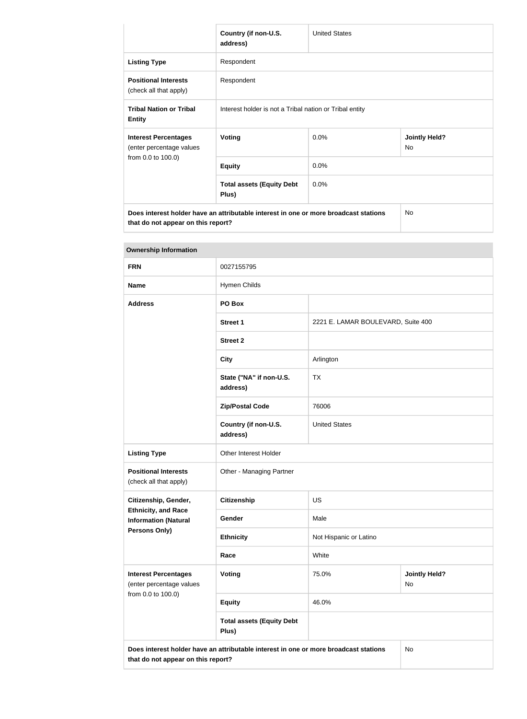|                                                         | Country (if non-U.S.<br>address)                                                     | <b>United States</b> |                            |
|---------------------------------------------------------|--------------------------------------------------------------------------------------|----------------------|----------------------------|
| <b>Listing Type</b>                                     | Respondent                                                                           |                      |                            |
| <b>Positional Interests</b><br>(check all that apply)   | Respondent                                                                           |                      |                            |
| <b>Tribal Nation or Tribal</b><br><b>Entity</b>         | Interest holder is not a Tribal nation or Tribal entity                              |                      |                            |
| <b>Interest Percentages</b><br>(enter percentage values | <b>Voting</b>                                                                        | 0.0%                 | <b>Jointly Held?</b><br>No |
| from 0.0 to 100.0)                                      | <b>Equity</b>                                                                        | 0.0%                 |                            |
|                                                         | <b>Total assets (Equity Debt</b><br>Plus)                                            | 0.0%                 |                            |
|                                                         | Does interest holder have an attributable interest in one or more broadcast stations |                      | <b>No</b>                  |

**that do not appear on this report?**

| <b>Ownership Information</b>                              |                                                                                      |                                    |                            |  |
|-----------------------------------------------------------|--------------------------------------------------------------------------------------|------------------------------------|----------------------------|--|
| <b>FRN</b>                                                | 0027155795                                                                           |                                    |                            |  |
| <b>Name</b>                                               | Hymen Childs                                                                         |                                    |                            |  |
| <b>Address</b>                                            | PO Box                                                                               |                                    |                            |  |
|                                                           | <b>Street 1</b>                                                                      | 2221 E. LAMAR BOULEVARD, Suite 400 |                            |  |
|                                                           | <b>Street 2</b>                                                                      |                                    |                            |  |
|                                                           | <b>City</b>                                                                          | Arlington                          |                            |  |
|                                                           | State ("NA" if non-U.S.<br>address)                                                  | <b>TX</b>                          |                            |  |
|                                                           | <b>Zip/Postal Code</b>                                                               | 76006                              |                            |  |
|                                                           | Country (if non-U.S.<br>address)                                                     | <b>United States</b>               |                            |  |
| <b>Listing Type</b>                                       | Other Interest Holder                                                                |                                    |                            |  |
| <b>Positional Interests</b><br>(check all that apply)     | Other - Managing Partner                                                             |                                    |                            |  |
| Citizenship, Gender,                                      | <b>Citizenship</b>                                                                   | US                                 |                            |  |
| <b>Ethnicity, and Race</b><br><b>Information (Natural</b> | Gender                                                                               | Male                               |                            |  |
| <b>Persons Only)</b>                                      | <b>Ethnicity</b>                                                                     | Not Hispanic or Latino             |                            |  |
|                                                           | Race                                                                                 | White                              |                            |  |
| <b>Interest Percentages</b><br>(enter percentage values   | Voting                                                                               | 75.0%                              | <b>Jointly Held?</b><br>No |  |
| from 0.0 to 100.0)                                        | <b>Equity</b>                                                                        | 46.0%                              |                            |  |
|                                                           | <b>Total assets (Equity Debt</b><br>Plus)                                            |                                    |                            |  |
| that do not appear on this report?                        | Does interest holder have an attributable interest in one or more broadcast stations |                                    | <b>No</b>                  |  |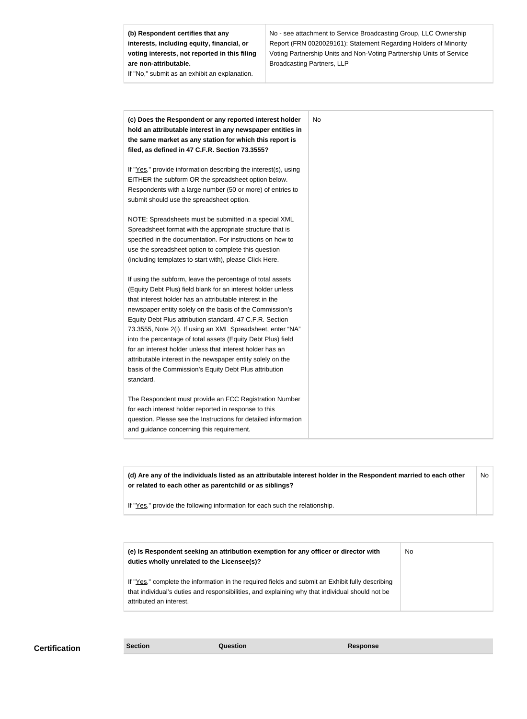**(b) Respondent certifies that any interests, including equity, financial, or voting interests, not reported in this filing are non-attributable.**

If "No," submit as an exhibit an explanation.

No - see attachment to Service Broadcasting Group, LLC Ownership Report (FRN 0020029161): Statement Regarding Holders of Minority Voting Partnership Units and Non-Voting Partnership Units of Service Broadcasting Partners, LLP

| (c) Does the Respondent or any reported interest holder<br>hold an attributable interest in any newspaper entities in<br>the same market as any station for which this report is<br>filed, as defined in 47 C.F.R. Section 73.3555? | No |
|-------------------------------------------------------------------------------------------------------------------------------------------------------------------------------------------------------------------------------------|----|
|                                                                                                                                                                                                                                     |    |
| If "Yes," provide information describing the interest(s), using<br>EITHER the subform OR the spreadsheet option below.<br>Respondents with a large number (50 or more) of entries to<br>submit should use the spreadsheet option.   |    |
|                                                                                                                                                                                                                                     |    |
| NOTE: Spreadsheets must be submitted in a special XML                                                                                                                                                                               |    |
| Spreadsheet format with the appropriate structure that is<br>specified in the documentation. For instructions on how to                                                                                                             |    |
| use the spreadsheet option to complete this question                                                                                                                                                                                |    |
| (including templates to start with), please Click Here.                                                                                                                                                                             |    |
| If using the subform, leave the percentage of total assets                                                                                                                                                                          |    |
| (Equity Debt Plus) field blank for an interest holder unless                                                                                                                                                                        |    |
| that interest holder has an attributable interest in the                                                                                                                                                                            |    |
| newspaper entity solely on the basis of the Commission's                                                                                                                                                                            |    |
| Equity Debt Plus attribution standard, 47 C.F.R. Section                                                                                                                                                                            |    |
| 73.3555, Note 2(i). If using an XML Spreadsheet, enter "NA"                                                                                                                                                                         |    |
| into the percentage of total assets (Equity Debt Plus) field<br>for an interest holder unless that interest holder has an                                                                                                           |    |
| attributable interest in the newspaper entity solely on the                                                                                                                                                                         |    |
| basis of the Commission's Equity Debt Plus attribution                                                                                                                                                                              |    |
| standard.                                                                                                                                                                                                                           |    |
| The Respondent must provide an FCC Registration Number                                                                                                                                                                              |    |
| for each interest holder reported in response to this                                                                                                                                                                               |    |
| question. Please see the Instructions for detailed information                                                                                                                                                                      |    |
| and guidance concerning this requirement.                                                                                                                                                                                           |    |
|                                                                                                                                                                                                                                     |    |

**(d) Are any of the individuals listed as an attributable interest holder in the Respondent married to each other or related to each other as parentchild or as siblings?** No

If "Yes," provide the following information for each such the relationship.

| (e) Is Respondent seeking an attribution exemption for any officer or director with<br>duties wholly unrelated to the Licensee(s)?                                                                                             | No |
|--------------------------------------------------------------------------------------------------------------------------------------------------------------------------------------------------------------------------------|----|
| If "Yes," complete the information in the required fields and submit an Exhibit fully describing<br>that individual's duties and responsibilities, and explaining why that individual should not be<br>attributed an interest. |    |

**Certification Section Section Question** *Question* **Response**